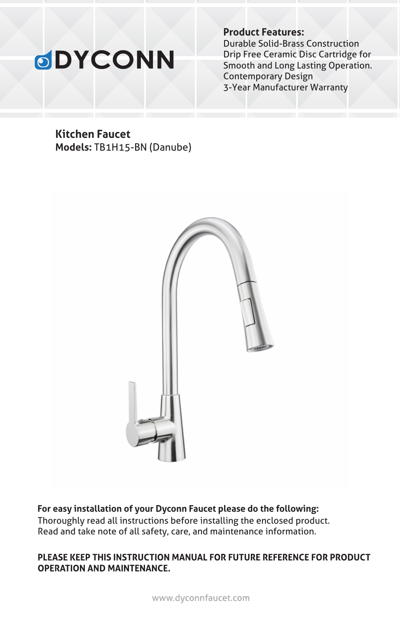# **ODYCONN**

**Product Features:**

Durable Solid-Brass Construction Drip Free Ceramic Disc Cartridge for Smooth and Long Lasting Operation. Contemporary Design 3-Year Manufacturer Warranty

### **Kitchen Faucet Models:** TB1H15-BN (Danube)



Thoroughly read all instructions before installing the enclosed product. Read and take note of all safety, care, and maintenance information. **For easy installation of your Dyconn Faucet please do the following:**

#### PLEASE KEEP THIS INSTRUCTION MANUAL FOR FUTURE REFERENCE FOR PRODUCT **OPERATION AND MAINTENANCE.**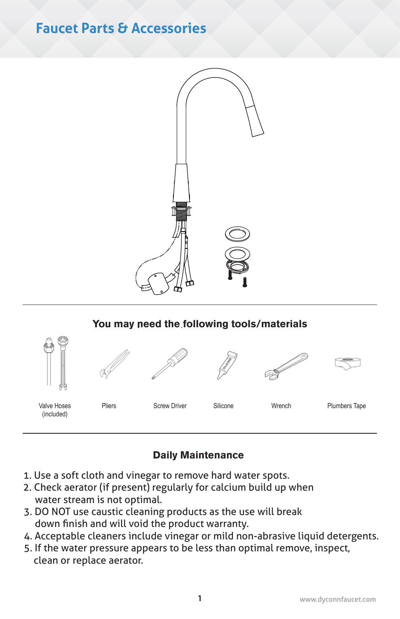# **Faucet Parts & Accessories**



### You may need the following tools/materials



### Daily Maintenance

- 1. Use a soft cloth and vinegar to remove hard water spots.
- 2. Check aerator (if present) regularly for calcium build up when water stream is not optimal.
- 3. DO NOT use caustic cleaning products as the use will break down finish and will void the product warranty.
- 4. Acceptable cleaners include vinegar or mild non-abrasive liquid detergents.
- 5. If the water pressure appears to be less than optimal remove, inspect, clean or replace aerator.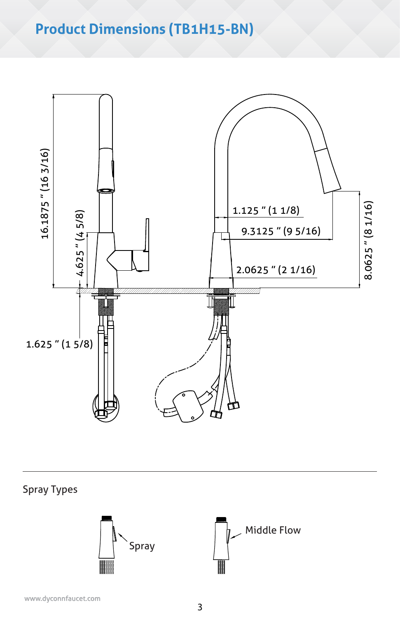# **Product Dimensions (TB1H15-BN)**



Spray Types

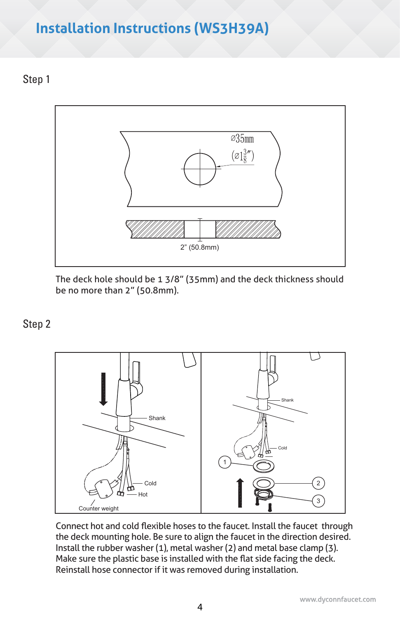# **Installation Instructions (WS3H39A)**

Step 1



The deck hole should be 1 3/8" (35mm) and the deck thickness should be no more than 2" (50.8mm).

## Step 2



Connect hot and cold flexible hoses to the faucet. Install the faucet through the deck mounting hole. Be sure to align the faucet in the direction desired. Install the rubber washer (1), metal washer (2) and metal base clamp (3). Make sure the plastic base is installed with the flat side facing the deck. Reinstall hose connector if it was removed during installation.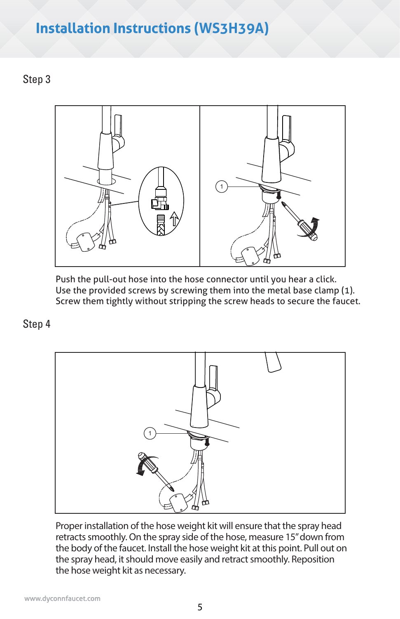# **Installation Instructions Instructions (WS3H39A)**

Step 3



Push the pull-out hose into the hose connector until you hear a click. Use the provided screws by screwing them into the metal base clamp (1). Screw them tightly without stripping the screw heads to secure the faucet.

Step 4



Proper installation of the hose weight kit will ensure that the spray head retracts smoothly. On the spray side of the hose, measure 15" down from the body of the faucet. Install the hose weight kit at this point. Pull out on the spray head, it should move easily and retract smoothly. Reposition the hose weight kit as necessary.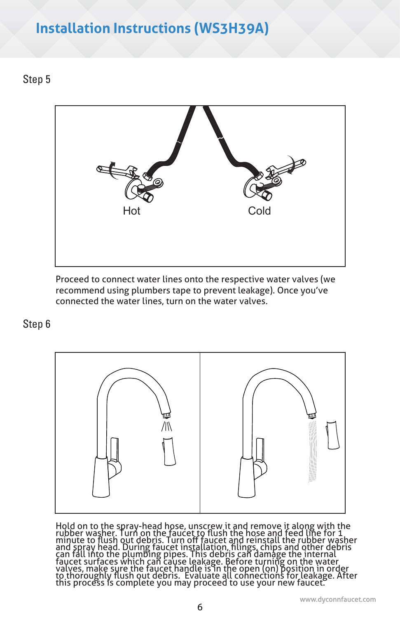# **Installation Instructions (WS3H39A)**

## Step 5



Proceed to connect water lines onto the respective water valves (we recommend using plumbers tape to prevent leakage). Once you've connected the water lines, turn on the water valves.

### Step 6



Hold on to the spray-head hose, unscrew it and remove it along with the rubber washer. Turn on the faucet to flush the hose and feed line for 1 minute to flush out debris. Turn off faucet and reinstall the rubber washer an to thoroughly flush out debris. Evaluate all connections for leakage. After<br>this process is complete you may proceed to use your new faucet.